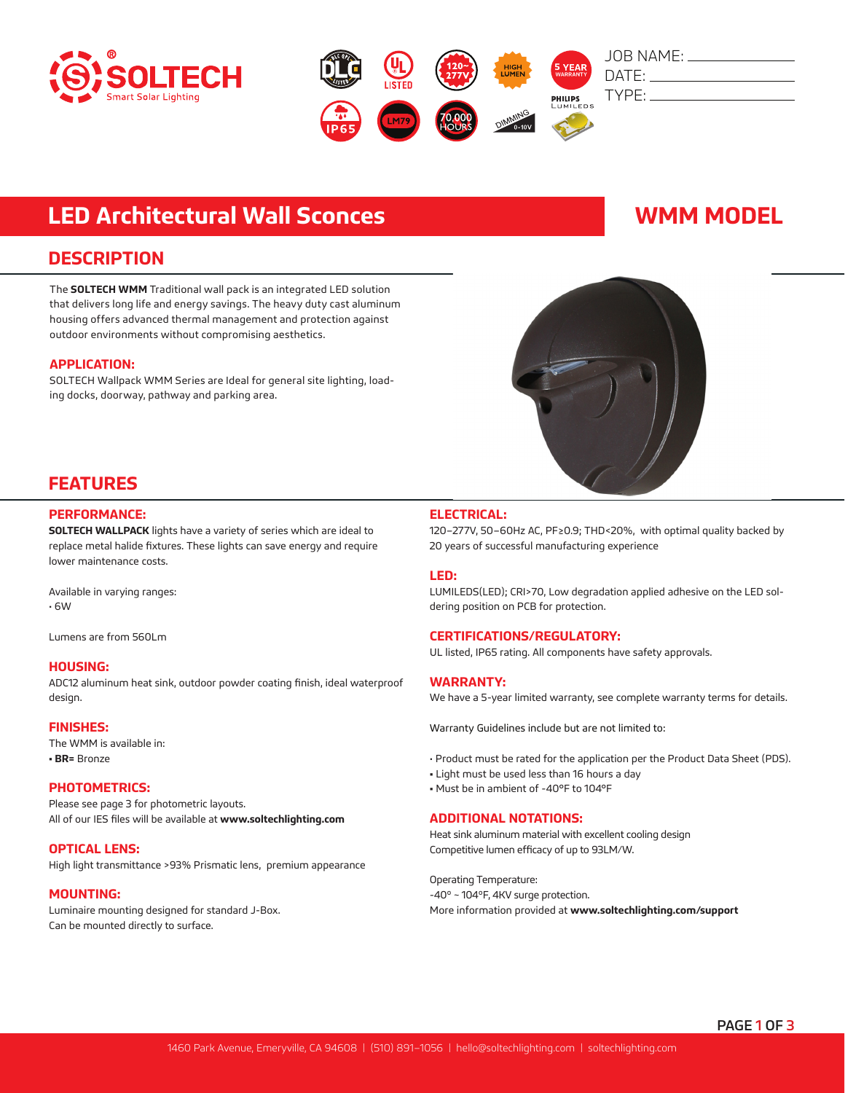



# **LED Architectural Wall Sconces WAMM MODEL**

## **DESCRIPTION**

The **SOLTECH WMM** Traditional wall pack is an integrated LED solution that delivers long life and energy savings. The heavy duty cast aluminum housing offers advanced thermal management and protection against outdoor environments without compromising aesthetics.

### **APPLICATION:**

SOLTECH Wallpack WMM Series are Ideal for general site lighting, loading docks, doorway, pathway and parking area.



## **FEATURES**

### **PERFORMANCE:**

**SOLTECH WALLPACK** lights have a variety of series which are ideal to replace metal halide fixtures. These lights can save energy and require lower maintenance costs.

Available in varying ranges: • 6W

Lumens are from 560Lm

#### **HOUSING:**

ADC12 aluminum heat sink, outdoor powder coating finish, ideal waterproof design.

#### **FINISHES:**

The WMM is available in: **• BR=** Bronze

#### **PHOTOMETRICS:**

Please see page 3 for photometric layouts. All of our IES files will be available at **www.soltechlighting.com**

#### **OPTICAL LENS:**

High light transmittance >93% Prismatic lens, premium appearance

#### **MOUNTING:**

Luminaire mounting designed for standard J-Box. Can be mounted directly to surface.

### **ELECTRICAL:**

120–277V, 50–60Hz AC, PF≥0.9; THD<20%, with optimal quality backed by 20 years of successful manufacturing experience

#### **LED:**

LUMILEDS(LED); CRI>70, Low degradation applied adhesive on the LED soldering position on PCB for protection.

### **CERTIFICATIONS/REGULATORY:**

UL listed, IP65 rating. All components have safety approvals.

#### **WARRANTY:**

We have a 5-year limited warranty, see complete warranty terms for details.

Warranty Guidelines include but are not limited to:

- Product must be rated for the application per the Product Data Sheet (PDS).
- Light must be used less than 16 hours a day
- Must be in ambient of -40°F to 104°F

### **ADDITIONAL NOTATIONS:**

Heat sink aluminum material with excellent cooling design Competitive lumen efficacy of up to 93LM/W.

Operating Temperature: -40º ~ 104ºF, 4KV surge protection. More information provided at **www.soltechlighting.com/support**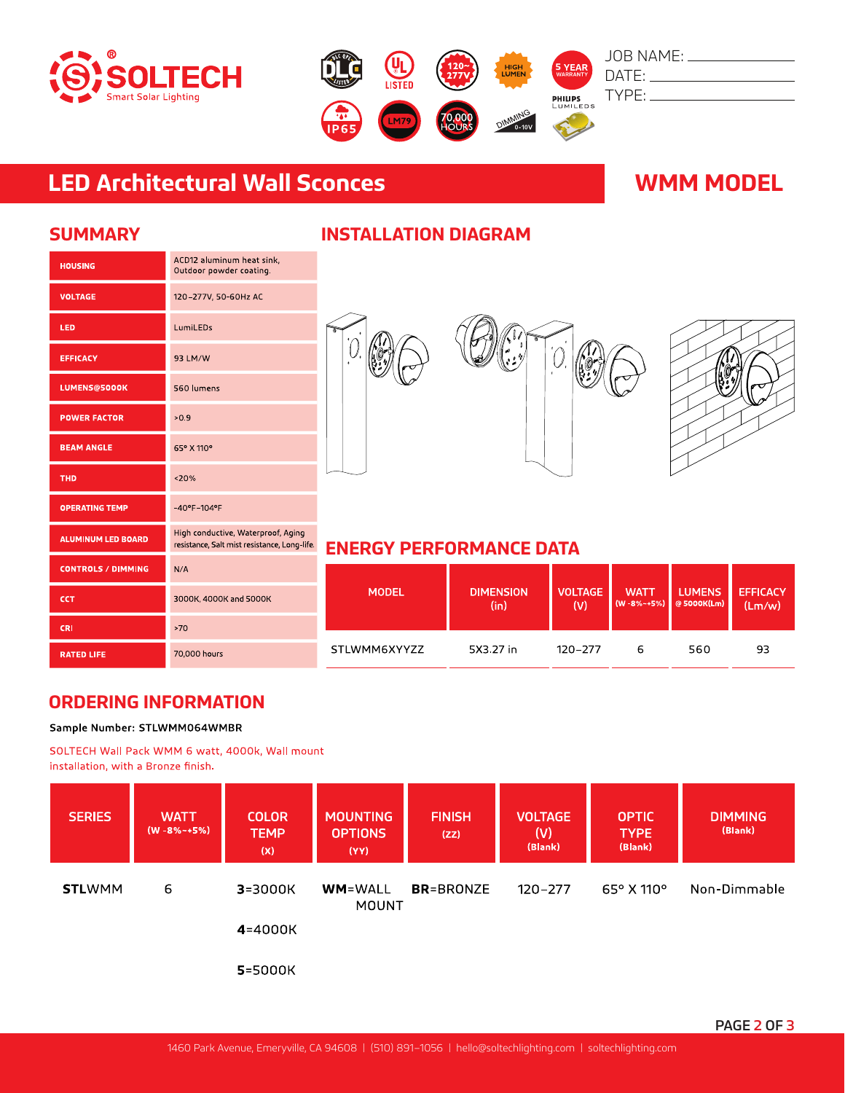



# **LED Architectural Wall Sconces WMM MODEL**

| <b>HOUSING</b>            | ACD12 aluminum heat sink,<br>Outdoor powder coating.                               |
|---------------------------|------------------------------------------------------------------------------------|
| <b>VOLTAGE</b>            | 120-277V, 50-60Hz AC                                                               |
| LED                       | LumiLEDs                                                                           |
| <b>EFFICACY</b>           | 93 LM/W                                                                            |
| <b>LUMENS@5000K</b>       | 560 lumens                                                                         |
| <b>POWER FACTOR</b>       | >0.9                                                                               |
| <b>BEAM ANGLE</b>         | 65° X 110°                                                                         |
| <b>THD</b>                | < 20%                                                                              |
| <b>OPERATING TEMP</b>     | $-40^{\circ}$ F $-104^{\circ}$ F                                                   |
| <b>ALUMINUM LED BOARD</b> | High conductive, Waterproof, Aging<br>resistance, Salt mist resistance, Long-life. |
| <b>CONTROLS / DIMMING</b> | N/A                                                                                |
| <b>CCT</b>                | 3000K, 4000K and 5000K                                                             |
| <b>CRI</b>                | >70                                                                                |
| <b>RATED LIFE</b>         | 70,000 hours                                                                       |

## **SUMMARY INSTALLATION DIAGRAM**





## **ENERGY PERFORMANCE DATA**

| <b>MODEL</b> | <b>DIMENSION</b> | <b>VOLTAGE</b> | <b>WATT</b>        | <b>LUMENS</b> | <b>EFFICACY</b> |
|--------------|------------------|----------------|--------------------|---------------|-----------------|
|              | (in)             | (V)            | $(W - 8\% - +5\%)$ | @ 5000K(Lm)   | (Lm/w)          |
| STLWMM6XYYZZ | 5X3.27 in        | 120-277        | 6                  | 560           | 93              |

## **ORDERING INFORMATION**

### Sample Number: STLWMM064WMBR

SOLTECH Wall Pack WMM 6 watt, 4000k, Wall mount installation, with a Bronze finish.

| <b>SERIES</b> | <b>WATT</b><br>$(W - 8\% - +5\%)$ | <b>COLOR</b><br><b>TEMP</b><br>(X) | <b>MOUNTING</b><br><b>OPTIONS</b><br>(YY) | <b>FINISH</b><br>(ZZ) | <b>VOLTAGE</b><br>(V)<br>(Blank) | <b>OPTIC</b><br><b>TYPE</b><br>(Blank) | <b>DIMMING</b><br>(Blank) |
|---------------|-----------------------------------|------------------------------------|-------------------------------------------|-----------------------|----------------------------------|----------------------------------------|---------------------------|
| <b>STLWMM</b> | 6                                 | $3 = 3000K$                        | <b>WM=WALL</b><br><b>MOUNT</b>            | <b>BR</b> =BRONZE     | $120 - 277$                      | $65^{\circ}$ X 110 $^{\circ}$          | Non-Dimmable              |
|               |                                   | 4=4000K                            |                                           |                       |                                  |                                        |                           |
|               |                                   | 5=5000K                            |                                           |                       |                                  |                                        |                           |